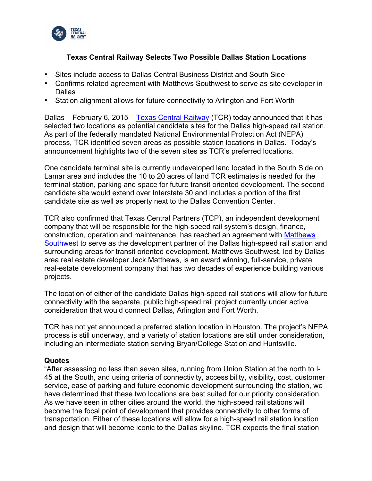

# **Texas Central Railway Selects Two Possible Dallas Station Locations**

- Sites include access to Dallas Central Business District and South Side
- Confirms related agreement with Matthews Southwest to serve as site developer in Dallas
- Station alignment allows for future connectivity to Arlington and Fort Worth

Dallas – February 6, 2015 – Texas Central Railway (TCR) today announced that it has selected two locations as potential candidate sites for the Dallas high-speed rail station. As part of the federally mandated National Environmental Protection Act (NEPA) process, TCR identified seven areas as possible station locations in Dallas. Today's announcement highlights two of the seven sites as TCR's preferred locations.

One candidate terminal site is currently undeveloped land located in the South Side on Lamar area and includes the 10 to 20 acres of land TCR estimates is needed for the terminal station, parking and space for future transit oriented development. The second candidate site would extend over Interstate 30 and includes a portion of the first candidate site as well as property next to the Dallas Convention Center.

TCR also confirmed that Texas Central Partners (TCP), an independent development company that will be responsible for the high-speed rail system's design, finance, construction, operation and maintenance, has reached an agreement with Matthews Southwest to serve as the development partner of the Dallas high-speed rail station and surrounding areas for transit oriented development. Matthews Southwest, led by Dallas area real estate developer Jack Matthews, is an award winning, full-service, private real-estate development company that has two decades of experience building various projects.

The location of either of the candidate Dallas high-speed rail stations will allow for future connectivity with the separate, public high-speed rail project currently under active consideration that would connect Dallas, Arlington and Fort Worth.

TCR has not yet announced a preferred station location in Houston. The project's NEPA process is still underway, and a variety of station locations are still under consideration, including an intermediate station serving Bryan/College Station and Huntsville.

### **Quotes**

"After assessing no less than seven sites, running from Union Station at the north to I-45 at the South, and using criteria of connectivity, accessibility, visibility, cost, customer service, ease of parking and future economic development surrounding the station, we have determined that these two locations are best suited for our priority consideration. As we have seen in other cities around the world, the high-speed rail stations will become the focal point of development that provides connectivity to other forms of transportation. Either of these locations will allow for a high-speed rail station location and design that will become iconic to the Dallas skyline. TCR expects the final station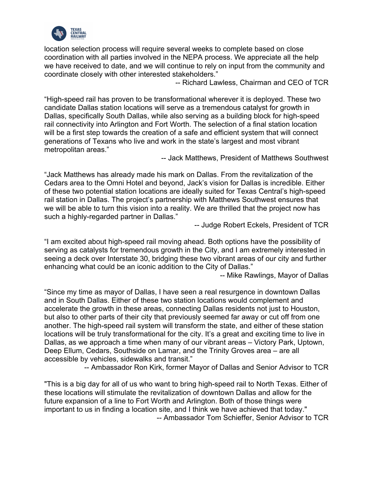

location selection process will require several weeks to complete based on close coordination with all parties involved in the NEPA process. We appreciate all the help we have received to date, and we will continue to rely on input from the community and coordinate closely with other interested stakeholders."

-- Richard Lawless, Chairman and CEO of TCR

"High-speed rail has proven to be transformational wherever it is deployed. These two candidate Dallas station locations will serve as a tremendous catalyst for growth in Dallas, specifically South Dallas, while also serving as a building block for high-speed rail connectivity into Arlington and Fort Worth. The selection of a final station location will be a first step towards the creation of a safe and efficient system that will connect generations of Texans who live and work in the state's largest and most vibrant metropolitan areas."

-- Jack Matthews, President of Matthews Southwest

"Jack Matthews has already made his mark on Dallas. From the revitalization of the Cedars area to the Omni Hotel and beyond, Jack's vision for Dallas is incredible. Either of these two potential station locations are ideally suited for Texas Central's high-speed rail station in Dallas. The project's partnership with Matthews Southwest ensures that we will be able to turn this vision into a reality. We are thrilled that the project now has such a highly-regarded partner in Dallas."

-- Judge Robert Eckels, President of TCR

"I am excited about high-speed rail moving ahead. Both options have the possibility of serving as catalysts for tremendous growth in the City, and I am extremely interested in seeing a deck over Interstate 30, bridging these two vibrant areas of our city and further enhancing what could be an iconic addition to the City of Dallas."

-- Mike Rawlings, Mayor of Dallas

"Since my time as mayor of Dallas, I have seen a real resurgence in downtown Dallas and in South Dallas. Either of these two station locations would complement and accelerate the growth in these areas, connecting Dallas residents not just to Houston, but also to other parts of their city that previously seemed far away or cut off from one another. The high-speed rail system will transform the state, and either of these station locations will be truly transformational for the city. It's a great and exciting time to live in Dallas, as we approach a time when many of our vibrant areas – Victory Park, Uptown, Deep Ellum, Cedars, Southside on Lamar, and the Trinity Groves area – are all accessible by vehicles, sidewalks and transit."

-- Ambassador Ron Kirk, former Mayor of Dallas and Senior Advisor to TCR

"This is a big day for all of us who want to bring high-speed rail to North Texas. Either of these locations will stimulate the revitalization of downtown Dallas and allow for the future expansion of a line to Fort Worth and Arlington. Both of those things were important to us in finding a location site, and I think we have achieved that today." -- Ambassador Tom Schieffer, Senior Advisor to TCR